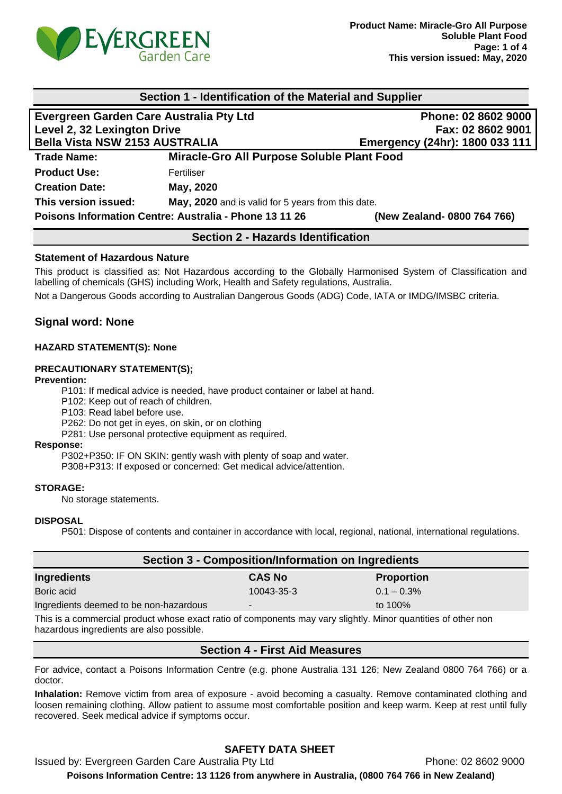

| Section 1 - Identification of the Material and Supplier |                                                    |                                |  |  |
|---------------------------------------------------------|----------------------------------------------------|--------------------------------|--|--|
| Evergreen Garden Care Australia Pty Ltd                 |                                                    | Phone: 02 8602 9000            |  |  |
| Level 2, 32 Lexington Drive                             |                                                    | Fax: 02 8602 9001              |  |  |
| <b>Bella Vista NSW 2153 AUSTRALIA</b>                   |                                                    | Emergency (24hr): 1800 033 111 |  |  |
| <b>Trade Name:</b>                                      | Miracle-Gro All Purpose Soluble Plant Food         |                                |  |  |
| <b>Product Use:</b>                                     | Fertiliser                                         |                                |  |  |
| <b>Creation Date:</b>                                   | May, 2020                                          |                                |  |  |
| This version issued:                                    | May, 2020 and is valid for 5 years from this date. |                                |  |  |
| Poisons Information Centre: Australia - Phone 13 11 26  |                                                    | (New Zealand-0800 764 766)     |  |  |

## **Section 2 - Hazards Identification**

### **Statement of Hazardous Nature**

This product is classified as: Not Hazardous according to the Globally Harmonised System of Classification and labelling of chemicals (GHS) including Work, Health and Safety regulations, Australia.

Not a Dangerous Goods according to Australian Dangerous Goods (ADG) Code, IATA or IMDG/IMSBC criteria.

## **Signal word: None**

### **HAZARD STATEMENT(S): None**

#### **PRECAUTIONARY STATEMENT(S);**

#### **Prevention:**

P101: If medical advice is needed, have product container or label at hand.

P102: Keep out of reach of children.

P103: Read label before use.

P262: Do not get in eyes, on skin, or on clothing

P281: Use personal protective equipment as required.

#### **Response:**

P302+P350: IF ON SKIN: gently wash with plenty of soap and water.

P308+P313: If exposed or concerned: Get medical advice/attention.

#### **STORAGE:**

No storage statements.

### **DISPOSAL**

P501: Dispose of contents and container in accordance with local, regional, national, international regulations.

| <b>Section 3 - Composition/Information on Ingredients</b>                                                      |               |                   |  |
|----------------------------------------------------------------------------------------------------------------|---------------|-------------------|--|
| <b>Ingredients</b>                                                                                             | <b>CAS No</b> | <b>Proportion</b> |  |
| Boric acid                                                                                                     | 10043-35-3    | $0.1 - 0.3\%$     |  |
| Ingredients deemed to be non-hazardous                                                                         | ۰             | to $100\%$        |  |
| This is a separately product whose guart ratio of copposents provisions eligibly. Miner guardities of ethnicac |               |                   |  |

This is a commercial product whose exact ratio of components may vary slightly. Minor quantities of other non hazardous ingredients are also possible.

## **Section 4 - First Aid Measures**

For advice, contact a Poisons Information Centre (e.g. phone Australia 131 126; New Zealand 0800 764 766) or a doctor.

**Inhalation:** Remove victim from area of exposure - avoid becoming a casualty. Remove contaminated clothing and loosen remaining clothing. Allow patient to assume most comfortable position and keep warm. Keep at rest until fully recovered. Seek medical advice if symptoms occur.

# **SAFETY DATA SHEET**

Issued by: Evergreen Garden Care Australia Pty Ltd Phone: 02 8602 9000

**Poisons Information Centre: 13 1126 from anywhere in Australia, (0800 764 766 in New Zealand)**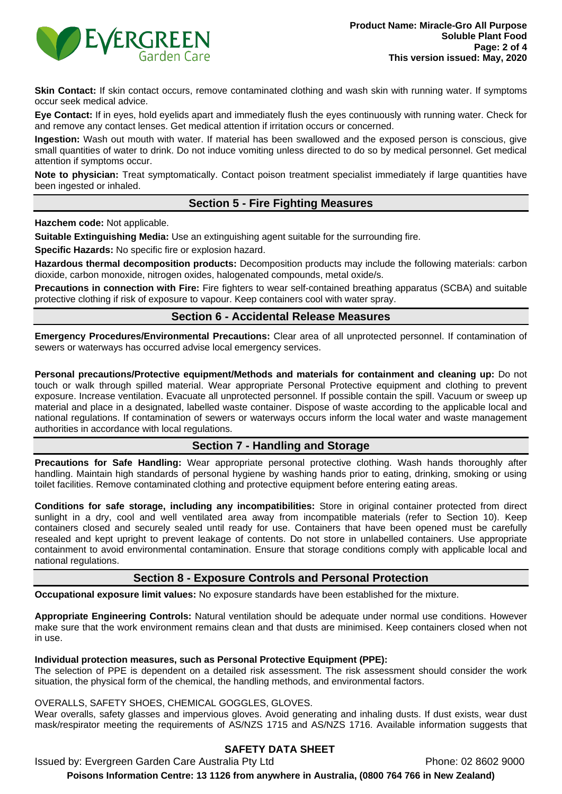

Skin Contact: If skin contact occurs, remove contaminated clothing and wash skin with running water. If symptoms occur seek medical advice.

**Eye Contact:** If in eyes, hold eyelids apart and immediately flush the eyes continuously with running water. Check for and remove any contact lenses. Get medical attention if irritation occurs or concerned.

**Ingestion:** Wash out mouth with water. If material has been swallowed and the exposed person is conscious, give small quantities of water to drink. Do not induce vomiting unless directed to do so by medical personnel. Get medical attention if symptoms occur.

**Note to physician:** Treat symptomatically. Contact poison treatment specialist immediately if large quantities have been ingested or inhaled.

## **Section 5 - Fire Fighting Measures**

**Hazchem code:** Not applicable.

**Suitable Extinguishing Media:** Use an extinguishing agent suitable for the surrounding fire.

**Specific Hazards:** No specific fire or explosion hazard.

**Hazardous thermal decomposition products:** Decomposition products may include the following materials: carbon dioxide, carbon monoxide, nitrogen oxides, halogenated compounds, metal oxide/s.

**Precautions in connection with Fire:** Fire fighters to wear self-contained breathing apparatus (SCBA) and suitable protective clothing if risk of exposure to vapour. Keep containers cool with water spray.

## **Section 6 - Accidental Release Measures**

**Emergency Procedures/Environmental Precautions:** Clear area of all unprotected personnel. If contamination of sewers or waterways has occurred advise local emergency services.

**Personal precautions/Protective equipment/Methods and materials for containment and cleaning up:** Do not touch or walk through spilled material. Wear appropriate Personal Protective equipment and clothing to prevent exposure. Increase ventilation. Evacuate all unprotected personnel. If possible contain the spill. Vacuum or sweep up material and place in a designated, labelled waste container. Dispose of waste according to the applicable local and national regulations. If contamination of sewers or waterways occurs inform the local water and waste management authorities in accordance with local regulations.

# **Section 7 - Handling and Storage**

**Precautions for Safe Handling:** Wear appropriate personal protective clothing. Wash hands thoroughly after handling. Maintain high standards of personal hygiene by washing hands prior to eating, drinking, smoking or using toilet facilities. Remove contaminated clothing and protective equipment before entering eating areas.

**Conditions for safe storage, including any incompatibilities:** Store in original container protected from direct sunlight in a dry, cool and well ventilated area away from incompatible materials (refer to Section 10). Keep containers closed and securely sealed until ready for use. Containers that have been opened must be carefully resealed and kept upright to prevent leakage of contents. Do not store in unlabelled containers. Use appropriate containment to avoid environmental contamination. Ensure that storage conditions comply with applicable local and national regulations.

## **Section 8 - Exposure Controls and Personal Protection**

**Occupational exposure limit values:** No exposure standards have been established for the mixture.

**Appropriate Engineering Controls:** Natural ventilation should be adequate under normal use conditions. However make sure that the work environment remains clean and that dusts are minimised. Keep containers closed when not in use.

### **Individual protection measures, such as Personal Protective Equipment (PPE):**

The selection of PPE is dependent on a detailed risk assessment. The risk assessment should consider the work situation, the physical form of the chemical, the handling methods, and environmental factors.

### OVERALLS, SAFETY SHOES, CHEMICAL GOGGLES, GLOVES.

Wear overalls, safety glasses and impervious gloves. Avoid generating and inhaling dusts. If dust exists, wear dust mask/respirator meeting the requirements of AS/NZS 1715 and AS/NZS 1716. Available information suggests that

# **SAFETY DATA SHEET**

Issued by: Evergreen Garden Care Australia Pty Ltd **Phone: 02 8602 9000** 

**Poisons Information Centre: 13 1126 from anywhere in Australia, (0800 764 766 in New Zealand)**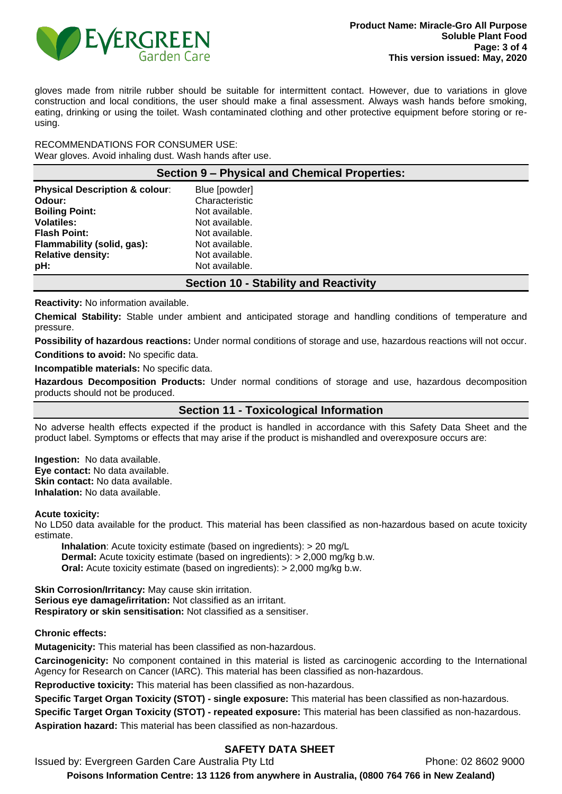

gloves made from nitrile rubber should be suitable for intermittent contact. However, due to variations in glove construction and local conditions, the user should make a final assessment. Always wash hands before smoking, eating, drinking or using the toilet. Wash contaminated clothing and other protective equipment before storing or reusing.

RECOMMENDATIONS FOR CONSUMER USE: Wear gloves. Avoid inhaling dust. Wash hands after use.

| Section 9 – Physical and Chemical Properties: |  |  |  |  |
|-----------------------------------------------|--|--|--|--|
|-----------------------------------------------|--|--|--|--|

| <b>Physical Description &amp; colour:</b> | Blue [powder]  |
|-------------------------------------------|----------------|
| Odour:                                    | Characteristic |
| <b>Boiling Point:</b>                     | Not available. |
| <b>Volatiles:</b>                         | Not available. |
| <b>Flash Point:</b>                       | Not available. |
| Flammability (solid, gas):                | Not available. |
| <b>Relative density:</b>                  | Not available. |
| pH:                                       | Not available. |

## **Section 10 - Stability and Reactivity**

**Reactivity:** No information available.

**Chemical Stability:** Stable under ambient and anticipated storage and handling conditions of temperature and pressure.

**Possibility of hazardous reactions:** Under normal conditions of storage and use, hazardous reactions will not occur. **Conditions to avoid:** No specific data.

**Incompatible materials:** No specific data.

**Hazardous Decomposition Products:** Under normal conditions of storage and use, hazardous decomposition products should not be produced.

**Section 11 - Toxicological Information**

No adverse health effects expected if the product is handled in accordance with this Safety Data Sheet and the product label. Symptoms or effects that may arise if the product is mishandled and overexposure occurs are:

**Ingestion:** No data available. **Eye contact:** No data available. **Skin contact:** No data available. **Inhalation:** No data available.

#### **Acute toxicity:**

No LD50 data available for the product. This material has been classified as non-hazardous based on acute toxicity estimate.

**Inhalation**: Acute toxicity estimate (based on ingredients): > 20 mg/L **Dermal:** Acute toxicity estimate (based on ingredients): > 2,000 mg/kg b.w. **Oral:** Acute toxicity estimate (based on ingredients): > 2,000 mg/kg b.w.

**Skin Corrosion/Irritancy:** May cause skin irritation. **Serious eye damage/irritation:** Not classified as an irritant. **Respiratory or skin sensitisation:** Not classified as a sensitiser.

#### **Chronic effects:**

**Mutagenicity:** This material has been classified as non-hazardous.

**Carcinogenicity:** No component contained in this material is listed as carcinogenic according to the International Agency for Research on Cancer (IARC). This material has been classified as non-hazardous.

**Reproductive toxicity:** This material has been classified as non-hazardous.

**Specific Target Organ Toxicity (STOT) - single exposure:** This material has been classified as non-hazardous.

**Specific Target Organ Toxicity (STOT) - repeated exposure:** This material has been classified as non-hazardous.

**Aspiration hazard:** This material has been classified as non-hazardous.

## **SAFETY DATA SHEET**

Issued by: Evergreen Garden Care Australia Pty Ltd **Phone: 02 8602 9000** 

**Poisons Information Centre: 13 1126 from anywhere in Australia, (0800 764 766 in New Zealand)**